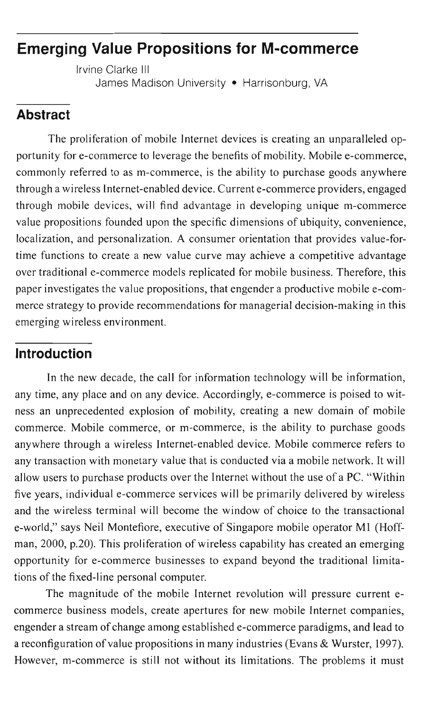# **Emerging Value Propositions for M-commerce**

Irvine Clarke III James Madison University • Harrisonburg, VA

# **Abstract**

The proliferation of mobile Internet devices is creating an unparalleled opportunity for e-commerce to leverage the benefits of mobility. Mobile e-commerce, commonly referred to as m-commerce, is the ability to purchase goods anywhere through a wireless Internet-enabled device. Current e-commerce providers, engaged through mobile devices, will find advantage in developing unique m-commerce value propositions founded upon the specific dimensions of ubiquity, convenience, localization, and personalization. A consumer orientation that provides value-fortime functions to create a new value curve may achieve a competitive advantage over traditional e-commerce models replicated for mobile business. Therefore, this paper investigates the value propositions, that engender a productive mobile e-commerce strategy to provide recommendations for managerial decision-making in this emerging wireless environment.

## **Introduction**

In the new decade, the call for information technology will be information, any time, any place and on any device. Accordingly, e-commerce is poised to witness an unprecedented explosion of mobility, creating a new domain of mobile commerce. Mobile commerce, or m-commerce, is the ability to purchase goods anywhere through a wireless Internet-enabled device. Mobile commerce refers to any transaction with monetary value that is conducted via a mobile network. It will allow users to purchase products over the Internet without the use of a Pc. "Within five years, individual e-commerce services will be primarily delivered by wireless and the wireless terminal will become the window of choice to the transactional e-world," says Neil Montefiore, executive of Singapore mobile operator Ml (Hoffman, 2000, p.20). This proliferation of wireless capability has created an emerging opportunity for e-commerce businesses to expand beyond the traditional limitations of the fixed-line personal computer.

The magnitude of the mobile Internet revolution will pressure current ecommerce business models, create apertures for new mobile Internet companies, engender a stream of change among established e-commerce paradigms, and lead to a reconfiguration ofvalue propositions in many industries (Evans & Wurster, 1997). However, m-commerce is still not without its limitations. The problems it must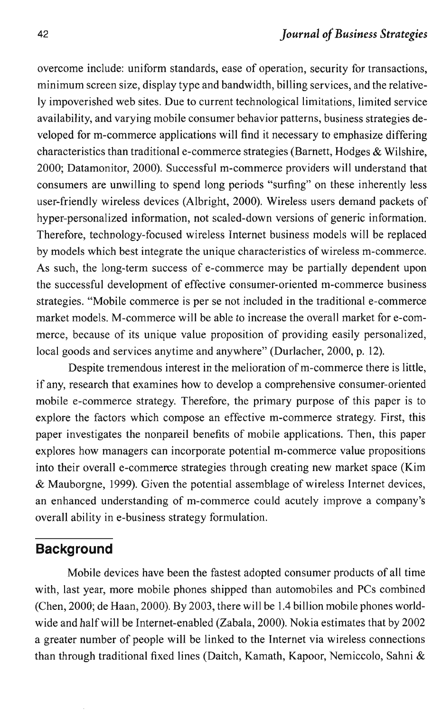overcome include: uniform standards, ease of operation, security for transactions, minimum screen size, display type and bandwidth, billing services, and the relatively impoverished web sites. Due to current technological limitations, limited service availability, and varying mobile consumer behavior patterns, business strategies developed for m-commerce applications will find it necessary to emphasize differing characteristics than traditional e-commerce strategies (Barnett, Hodges & Wilshire, 2000; Datamonitor, 2000). Successful m-commerce providers will understand that consumers are unwilling to spend long periods "surfing" on these inherently less user-friendly wireless devices (Albright, 2000). Wireless users demand packets of hyper-personalized information, not scaled-down versions of generic information. Therefore, technology-focused wireless Internet business models will be replaced by models which best integrate the unique characteristics of wireless m-commerce. As such, the long-term success of e-commerce may be partially dependent upon the successful development of effective consumer-oriented m-commerce business strategies. "Mobile commerce is per se not included in the traditional e-commerce market models. M-commerce will be able to increase the overall market for e-commerce, because of its unique value proposition of providing easily personalized, local goods and services anytime and anywhere" (Durlacher, 2000, p.. 12).

Despite tremendous interest in the melioration of m-commerce there is little, if any, research that examines how to develop a comprehensive consumer-oriented mobile e-commerce strategy. Therefore, the primary purpose of this paper is to explore the factors which compose an effective m-commerce strategy. First, this paper investigates the nonpareil benefits of mobile applications. Then, this paper explores how managers can incorporate potential m-commerce value propositions into their overall e-commerce strategies through creating new market space (Kim & Mauborgne, 1999). Given the potential assemblage of wireless Internet devices, an enhanced understanding of m-commerce could acutely improve a company's overall ability in e-business strategy formulation.

## **Background**

Mobile devices have been the fastest adopted consumer products of all time with, last year, more mobile phones shipped than automobiles and PCs combined (Chen, 2000; de Haan, 2000). By 2003, there will be 1.4 billion mobile phones worldwide and halfwill be Internet-enabled (Zabala, 2000). Nokia estimates that by 2002 a greater number of people will be linked to the Internet via wireless connections than through traditional fixed lines (Daitch, Kamath, Kapoor, Nemiccolo, Sahni &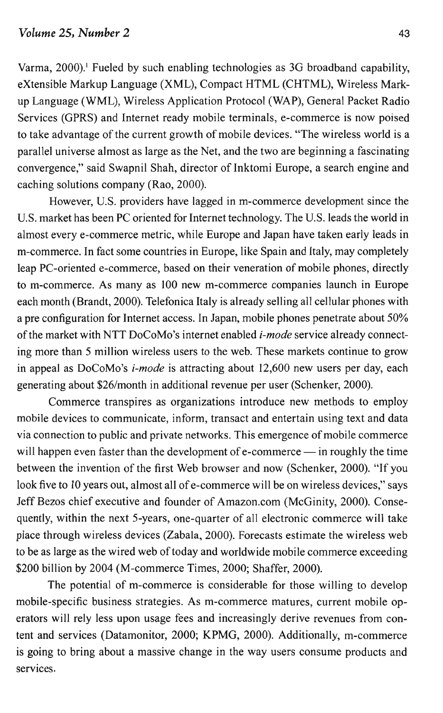Varma, 2000).' Fueled by such enabling technologies as 3G broadband capability, eXtensible Markup Language (XML), Compact HTML (CHTML), Wireless Markup Language (WML), Wireless Application Protocol (WAP), General Packet Radio Services (GPRS) and Internet ready mobile terminals, e-commerce is now poised to take advantage of the current growth of mobile devices. "The wireless world is a parallel universe almost as large as the Net, and the two are beginning a fascinating convergence," said Swapnil Shah, director of Inktomi Europe, a search engine and caching solutions company (Rao, 2000).

However, U.S. providers have lagged in m-commerce development since the U.S. market has been PC oriented for Internet technology. The U.S. leads the world in almost every e-commerce metric, while Europe and Japan have taken early leads in m-commerce. In fact some countries in Europe, like Spain and Italy, may completely leap PC-oriented e-commerce, based on their veneration of mobile phones, directly to m-commerce. As many as 100 new m-commerce companies launch in Europe each month (Brandt, 2000). Telefonica Italy is already selling all cellular phones with a pre configuration for Internet access. In Japan, mobile phones penetrate about 50% of the market with NTT DoCoMo's internet enabled *i-mode* service already connecting more than 5 million wireless users to the web. These markets continue to grow in appeal as DoCoMo's *i-mode* is attracting about 12,600 new users per day, each generating about \$26/month in additional revenue per user (Schenker, 2000).

Commerce transpires as organizations introduce new methods to employ mobile devices to communicate, inform, transact and entertain using text and data via connection to public and private networks. This emergence of mobile commerce will happen even faster than the development of e-commerce  $-$  in roughly the time between the invention of the first Web browser and now (Schenker, 2000). "If you look five to 10 years out, almost all of e-commerce will be on wireless devices," says Jeff Bezos chief executive and founder of Amazon.com (McGinity, 2000). Consequently, within the next 5-years, one-quarter of all electronic commerce will take place through wireless devices (Zabala, 2000). Forecasts estimate the wireless web to be as large as the wired web of today and worldwide mobile commerce exceeding \$200 billion by 2004 (M-commerce Times, 2000; Shaffer, 2000).

The potential of m-commerce is considerable for those willing to develop mobile-specific business strategies. As m-commerce matures, current mobile operators will rely less upon usage fees and increasingly derive revenues from content and services (Datamonitor, 2000; KPMG, 2000). Additionally, m-commerce is going to bring about a massive change in the way users consume products and services.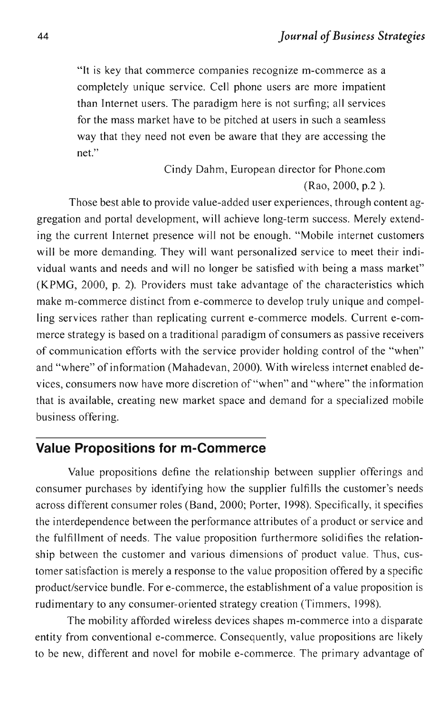"It is key that commerce companies recognize m-commerce as a completely unique service. Cell phone users are more impatient than Internet users. The paradigm here is not surfing; all services for the mass market have to be pitched at users in such a seamless way that they need not even be aware that they are accessing the net"

> Cindy Dahm, European director for Phone.com (Rao, 2000, p.2 ).

Those best able to provide value-added user experiences, through content aggregation and portal development, will achieve long-term success. Merely extending the current Internet presence will not be enough. "Mobile internet customers will be more demanding. They will want personalized service to meet their individual wants and needs and will no longer be satisfied with being a mass market" (KPMG, 2000, p. 2). Providers must take advantage of the characteristics which make m-commerce distinct from e-commerce to develop truly unique and compelling services rather than replicating current e-commerce models. Current e-commerce strategy is based on a traditional paradigm of consumers as passive receivers of communication efforts with the service provider holding control of the "when" and "where" of information (Mahadevan, 2000). With wireless internet enabled devices, consumers now have more discretion of "when" and "where" the information that is available, creating new market space and demand for a specialized mobile business offering.

### **Value Propositions for m-Commerce**

Value propositions define the relationship between supplier offerings and consumer purchases by identifying how the supplier fulfills the customer's needs across different consumer roles (Band, 2000; Porter, 1998). Specifically, it specifies the interdependence between the performance attributes of a product or service and the fulfillment of needs. The value proposition furthermore solidifies the relationship between the customer and various dimensions of product value. Thus, customer satisfaction is merely a response to the value proposition offered by a specific product/service bundle. For e-commerce, the establishment of a value proposition is rudimentary to any consumer-oriented strategy creation (Timmers, 1998).

The mobility afforded wireless devices shapes m-commerce into a disparate entity from conventional e-commerce. Consequently, value propositions are likely to be new, different and novel for mobile e-commerce. The primary advantage of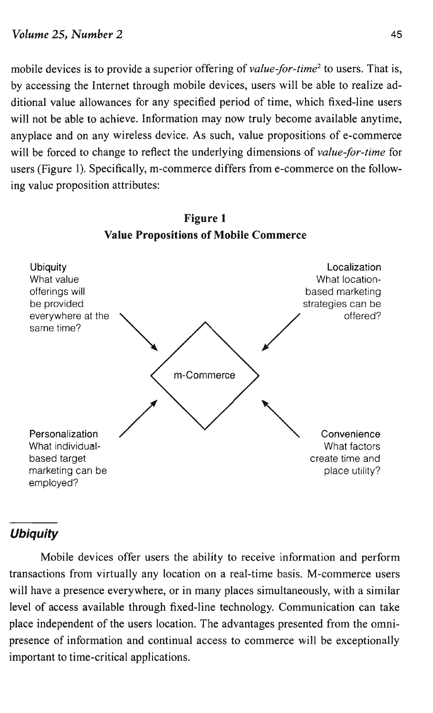mobile devices is to provide a superior offering of *value-for-time2* to users. That is, by accessing the Internet through mobile devices, users will be able to realize additional value allowances for any specified period of time, which fixed-line users will not be able to achieve. Information may now truly become available anytime, anyplace and on any wireless device. As such, value propositions of e-commerce will be forced to change to reflect the underlying dimensions of *value-jor-time* for users (Figure 1). Specifically, m-commerce differs from e-commerce on the following value proposition attributes:



Figure 1 Value Propositions of Mobile Commerce

## **Ubiquity**

Mobile devices offer users the ability to receive information and perform transactions from virtually any location on a real-time basis. M-commerce users will have a presence everywhere, or in many places simultaneously, with a similar level of access available through fixed-line technology. Communication can take place independent of the users location. The advantages presented from the omnipresence of information and continual access to commerce will be exceptionally important to time-critical applications.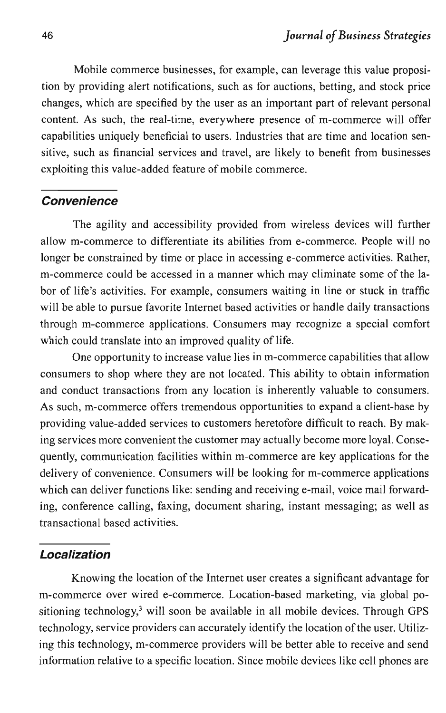Mobile commerce businesses, for example, can leverage this value proposition by providing alert notifications, such as for auctions, betting, and stock price changes, which are specified by the user as an important part of relevant personal content. As such, the real-time, everywhere presence of m-commerce will offer capabilities uniquely beneficial to users. Industries that are time and location sensitive, such as financial services and travel, are likely to benefit from businesses exploiting this value-added feature of mobile commerce.

#### **Convenience**

The agility and accessibility provided from wireless devices will further allow m-commerce to differentiate its abilities from e-commerce. People will no longer be constrained by time or place in accessing e-commerce activities. Rather, m-commerce could be accessed in a manner which may eliminate some of the labor of life's activities. For example, consumers waiting in line or stuck in traffic will be able to pursue favorite Internet based activities or handle daily transactions through m-commerce applications. Consumers may recognize a special comfort which could translate into an improved quality of life.

One opportunity to increase value lies in m-commerce capabilities that allow consumers to shop where they are not located. This ability to obtain information and conduct transactions from any location is inherently valuable to consumers. As such, m-commerce offers tremendous opportunities to expand a client-base by providing value-added services to customers heretofore difficult to reach. By making services more convenient the customer may actually become more loyal. Consequently, communication facilities within m-commerce are key applications for the delivery of convenience. Consumers will be looking for m-commerce applications which can deliver functions like: sending and receiving e-mail, voice mail forwarding, conference calling, faxing, document sharing, instant messaging; as well as transactional based activities.

#### **Localization**

Knowing the location of the Internet user creates a significant advantage for m-commerce over wired e-commerce. Location-based marketing, via global positioning technology,<sup>3</sup> will soon be available in all mobile devices. Through GPS technology, service providers can accurately identify the location of the user. Utilizing this technology, m-commerce providers will he better able to receive and send information relative to a specific location. Since mobile devices like cell phones are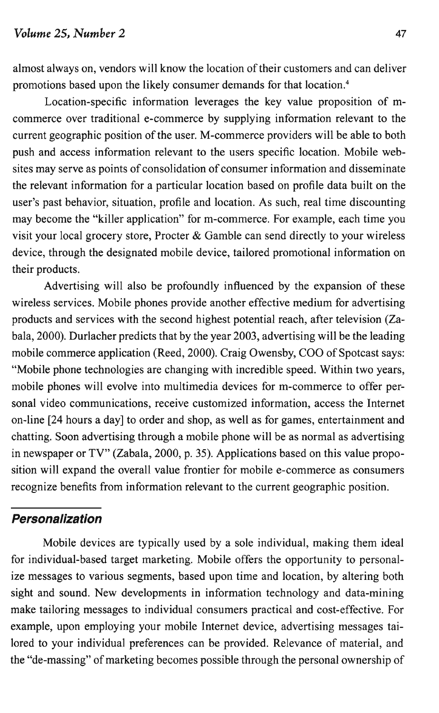Location-specific information leverages the key value proposition of mcommerce over traditional e-commerce by supplying information relevant to the current geographic position of the user. M-commerce providers will be able to both push and access information relevant to the users specific location. Mobile websites may serve as points of consolidation of consumer information and disseminate the relevant information for a particular location based on profile data built on the user's past behavior, situation, profile and location. As such, real time discounting may become the "killer application" for m-commerce. For example, each time you visit your local grocery store, Procter & Gamble can send directly to your wireless device, through the designated mobile device, tailored promotional information on their products.

promotions based upon the likely consumer demands for that location.4

Advertising will also be profoundly influenced by the expansion of these wireless services. Mobile phones provide another effective medium for advertising products and services with the second highest potential reach, after television (Zabala, 2000). Durlacher predicts that by the year 2003, advertising will be the leading mobile commerce application (Reed, 2000). Craig Owensby, COO of Spotcast says: "Mobile phone technologies are changing with incredible speed. Within two years, mobile phones will evolve into multimedia devices for m-commerce to offer personal video communications, receive customized information, access the Internet on-line [24 hours a day] to order and shop, as well as for games, entertainment and chatting. Soon advertising through a mobile phone will be as normal as advertising in newspaper or TV" (Zabala, 2000, p. 35). Applications based on this value proposition will expand the overall value frontier for mobile e-commerce as consumers recognize benefits from information relevant to the current geographic position.

### **Personalization**

Mobile devices are typically used by a sole individual, making them ideal for individual-based target marketing. Mobile offers the opportunity to personalize messages to various segments, based upon time and location, by altering both sight and sound. New developments in information technology and data-mining make tailoring messages to individual consumers practical and cost-effective. For example, upon employing your mobile Internet device, advertising messages tailored to your individual preferences can be provided. Relevance of material, and the "de-massing" of marketing becomes possible through the personal ownership of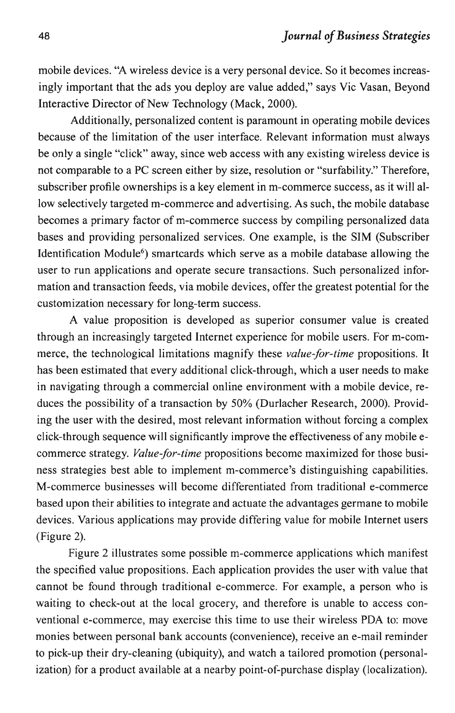mobile devices. "A wireless device is a very personal device. So it becomes increasingly important that the ads you deploy are value added," says Vic Vasan, Beyond Interactive Director of New Technology (Mack, 2000).

Additionally, personalized content is paramount in operating mobile devices because of the limitation of the user interface. Relevant information must always be only a single "click" away, since web access with any existing wireless device is not comparable to a PC screen either by size, resolution or "surfability." Therefore, subscriber profile ownerships is a key element in m-commerce success, as it will allow selectively targeted m-commerce and advertising. As such, the mobile database becomes a primary factor of m-commerce success by compiling personalized data bases and providing personalized services. One example, is the SIM (Subscriber Identification Module<sup>6</sup>) smartcards which serve as a mobile database allowing the user to run applications and operate secure transactions. Such personalized information and transaction feeds, via mobile devices, offer the greatest potential for the customization necessary for long-term success.

A value proposition is developed as superior consumer value is created through an increasingly targeted Internet experience for mobile users. For m-commerce, the technological limitations magnify these *value-for-time* propositions. It has been estimated that every additional click-through, which a user needs to make in navigating through a commercial online environment with a mobile device, reduces the possibility of a transaction by 50% (Durlacher Research, 2000). Providing the user with the desired, most relevant information without forcing a complex click-through sequence will significantly improve the effectiveness of any mobile ecommerce strategy. *Value-for-time* propositions become maximized for those business strategies best able to implement m-commerce's distinguishing capabilities. M-commerce businesses will become differentiated from traditional e-commerce based upon their abilities to integrate and actuate the advantages germane to mobile devices. Various applications may provide differing value for mobile Internet users (Figure 2).

Figure 2 illustrates some possible m-commerce applications which manifest the specified value propositions. Each application provides the user with value that cannot be found through traditional e-commerce. For example, a person who is waiting to check-out at the local grocery, and therefore is unable to access conventional e-commerce, may exercise this time to use their wireless PDA to: move monies between personal bank accounts (convenience), receive an e-mail reminder to pick-up their dry-cleaning (ubiquity), and watch a tailored promotion (personalization) for a product available at a nearby point-of-purchase display (localization).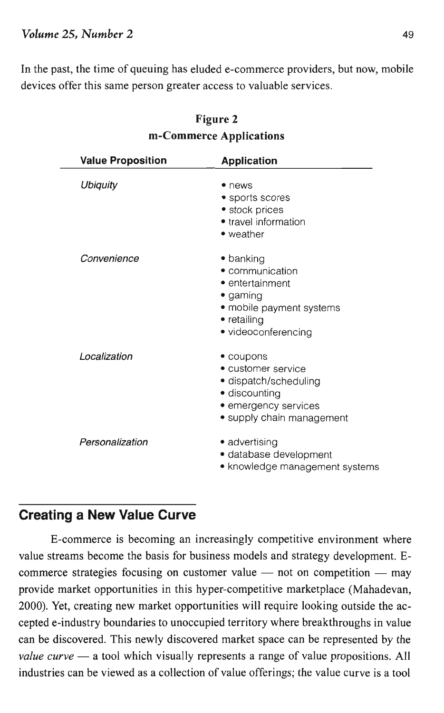#### *Volume* 25, *Number 2* 49

In the past, the time of queuing has eluded e-commerce providers, but now, mobile devices offer this same person greater access to valuable services.

| <b>Value Proposition</b> | <b>Application</b>                                                                                                                    |
|--------------------------|---------------------------------------------------------------------------------------------------------------------------------------|
| <b>Ubiquity</b>          | • news<br>• sports scores<br>• stock prices<br>• travel information<br>• weather                                                      |
| Convenience              | • banking<br>• communication<br>• entertainment<br>$\bullet$ gaming<br>• mobile payment systems<br>• retailing<br>• videoconferencing |
| Localization             | • coupons<br>• customer service<br>· dispatch/scheduling<br>• discounting<br>• emergency services<br>• supply chain management        |
| Personalization          | • advertising<br>· database development<br>• knowledge management systems                                                             |

#### Figure 2 m-Commerce Applications

## **Creating a New Value Curve**

E-commerce is becoming an increasingly competitive environment where value streams become the basis for business models and strategy development. Ecommerce strategies focusing on customer value  $-$  not on competition  $-$  may provide market opportunities in this hyper-competitive marketplace (Mahadevan, 2000). Yet, creating new market opportunities will require looking outside the accepted e-industry boundaries to unoccupied territory where breakthroughs in value can be discovered. This newly discovered market space can be represented by the *value curve* — a tool which visually represents a range of value propositions. All industries can be viewed as a collection of value offerings; the value curve is a tool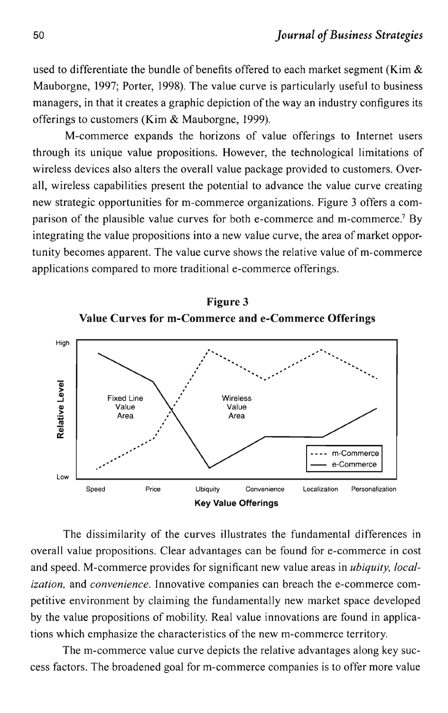used to differentiate the bundle of benefits offered to each market segment (Kim  $\&$ Mauborgne, 1997; Porter, 1998). The value curve is particularly useful to business managers, in that it creates a graphic depiction of the way an industry configures its offerings to customers (Kim & Mauborgne, 1999).

M-commerce expands the horizons of value offerings to Internet users through its unique value propositions. However, the technological limitations of wireless devices also alters the overall value package provided to customers. Overall, wireless capabilities present the potential to advance the value curve creating new strategic opportunities for m-commerce organizations. Figure 3 offers a comparison of the plausible value curves for both e-commerce and m-commerce.7 By integrating the value propositions into a new value curve, the area of market opportunity becomes apparent. The value curve shows the relative value of m-commerce applications compared to more traditional e-commerce offerings.





The dissimilarity of the curves illustrates the fundamental differences in overall value propositions. Clear advantages can be found for e-commerce in cost and speed. M-commerce provides for significant new value areas in *ubiquity, localization,* and *convenience.* Innovative companies can breach the e-commerce competitive environment by claiming the fundamentally new market space developed by the value propositions of mobility. Real value innovations are found in applications which emphasize the characteristics of the new m-commerce territory.

The m-commerce value curve depicts the relative advantages along key success factors. The broadened goal for m-commerce companies is to offer more value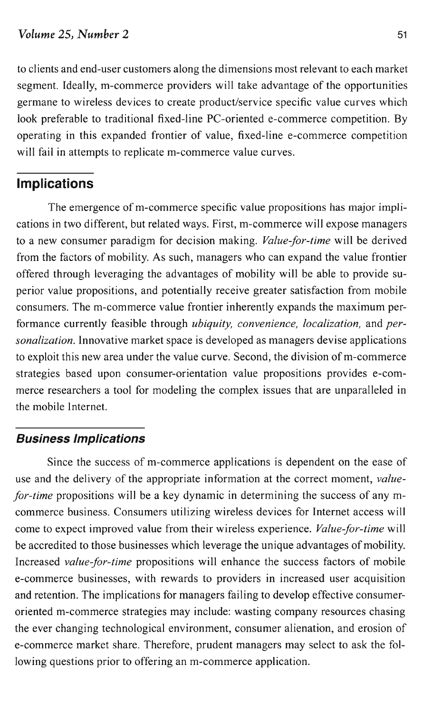to clients and end-user customers along the dimensions most relevant to each market segment. Ideally, m-commerce providers will take advantage of the opportunities germane to wireless devices to create product/service specific value curves which look preferable to traditional fixed-line PC-oriented e-commerce competition. By operating in this expanded frontier of value, fixed-line e-commerce competition will fail in attempts to replicate m-commerce value curves.

# **Implications**

The emergence of m-commerce specific value propositions has major implications in two different, but related ways. First, m-commerce will expose managers to a new consumer paradigm for decision making. *Value-for-time* will be derived from the factors of mobility. As such, managers who can expand the value frontier offered through leveraging the advantages of mobility will be able to provide superior value propositions, and potentially receive greater satisfaction from mobile consumers. The m-commerce value frontier inherently expands the maximum performance currently feasible through *ubiquity, convenience, localization,* and *personalization.* Innovative market space is developed as managers devise applications to exploit this new area under the value curve. Second, the division of m-commerce strategies based upon consumer-orientation value propositions provides e-commerce researchers a tool for modeling the complex issues that are unparalleled in the mobile Internet.

## **Business Implications**

Since the success of m-commerce applications is dependent on the ease of use and the delivery of the appropriate information at the correct moment, *valuefor-time* propositions will be a key dynamic in determining the success of any mcommerce business. Consumers utilizing wireless devices for Internet access will come to expect improved value from their wireless experience. *Value-for-time* will be accredited to those businesses which leverage the unique advantages of mobility. Increased *value-for-time* propositions will enhance the success factors of mobile e-commerce businesses, with rewards to providers in increased user acquisition and retention. The implications for managers failing to develop effective consumeroriented m-commerce strategies may include: wasting company resources chasing the ever changing technological environment, consumer alienation, and erosion of e-commerce market share. Therefore, prudent managers may select to ask the following questions prior to offering an m-commerce application.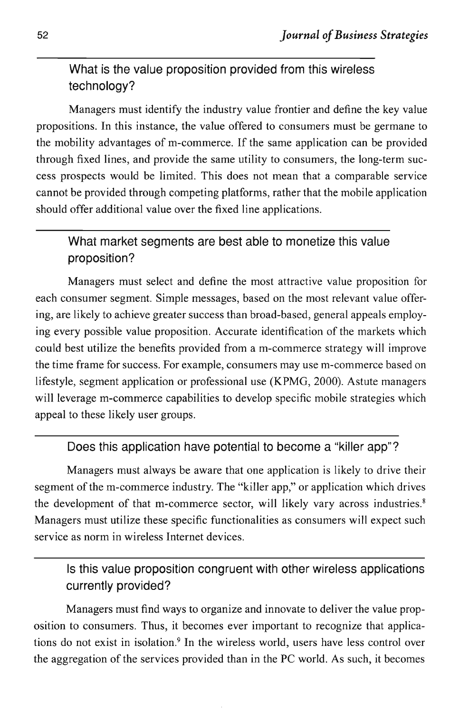# What is the value proposition provided from this wireless technology?

Managers must identify the industry value frontier and define the key value propositions. In this instance, the value offered to consumers must be germane to the mobility advantages of m-commerce. If the same application can be provided through fixed lines, and provide the same utility to consumers, the long-term success prospects would be limited. This does not mean that a comparable service cannot be provided through competing platforms, rather that the mobile application should offer additional value over the fixed line applications.

# What market segments are best able to monetize this value proposition?

Managers must select and define the most attractive value proposition for each consumer segment. Simple messages, based on the most relevant value offering, are likely to achieve greater success than broad-based, general appeals employing every possible value proposition. Accurate identification of the markets which could best utilize the benefits provided from a m-commerce strategy will improve the time frame for success. For example, consumers may use m-commerce based on lifestyle, segment application or professional use (KPMG, 2000). Astute managers will leverage m-commerce capabilities to develop specific mobile strategies which appeal to these likely user groups.

# Does this application have potential to become a "killer app"?

Managers must always be aware that one application is likely to drive their segment of the m-commerce industry. The "killer app," or application which drives the development of that m-commerce sector, will likely vary across industries. <sup>8</sup> Managers must utilize these specific functionalities as consumers will expect such service as norm in wireless Internet devices.

## Is this value proposition congruent with other wireless applications currently provided?

Managers must find ways to organize and innovate to deliver the value proposition to consumers. Thus, it becomes ever important to recognize that applications do not exist in isolation.<sup>9</sup> In the wireless world, users have less control over the aggregation of the services provided than in the PC world. As such, it becomes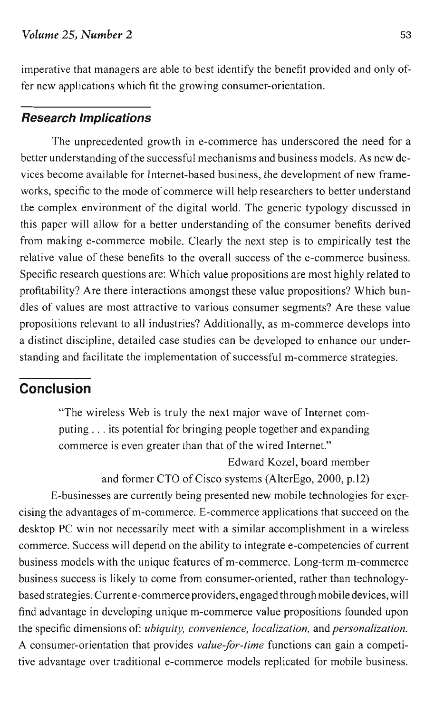#### *Volume* 25, *Number* 2 53

imperative that managers are able to best identify the benefit provided and only offer new applications which fit the growing consumer-orientation.

#### **Research Implications**

The unprecedented growth in e-commerce has underscored the need for a better understanding of the successful mechanisms and business models. As new devices become available for Internet-based business, the development of new frameworks, specific to the mode of commerce will help researchers to better understand the complex environment of the digital world. The generic typology discussed in this paper will allow for a better understanding of the consumer benefits derived from making e-commerce mobile. Clearly the next step is to empirically test the relative value of these benefits to the overall success of the e-commerce business. Specific research questions are: Which value propositions are most highly related to profitability? Are there interactions amongst these value propositions? Which bundles of values are most attractive to various consumer segments? Are these value propositions relevant to all industries? Additionally, as m-commerce develops into a distinct discipline, detailed case studies can be developed to enhance our understanding and facilitate the implementation of successful m-commerce strategies.

## **Conclusion**

"The wireless Web is truly the next major wave of Internet computing ... its potential for bringing people together and expanding commerce is even greater than that of the wired Internet."

Edward Kozel, board member

and former CTO of Cisco systems (AlterEgo, 2000, p.12)

E-businesses are currently being presented new mobile technologies for exercising the advantages of m-commerce. E-commerce applications that succeed on the desktop PC win not necessarily meet with a similar accomplishment in a wireless commerce. Success will depend on the ability to integrate e-competencies of current business models with the unique features of m-commerce. Long-term m-commerce business success is likely to come from consumer-oriented, rather than technologybased strategies. Currente-commerce providers, engaged through mobile devices, will find advantage in developing unique m-commerce value propositions founded upon the specific dimensions of: *ubiquity, convenience, localization,* and *personalization.* A consumer-orientation that provides *value-for-time* functions can gain a competitive advantage over traditional e-commerce models replicated for mobile business.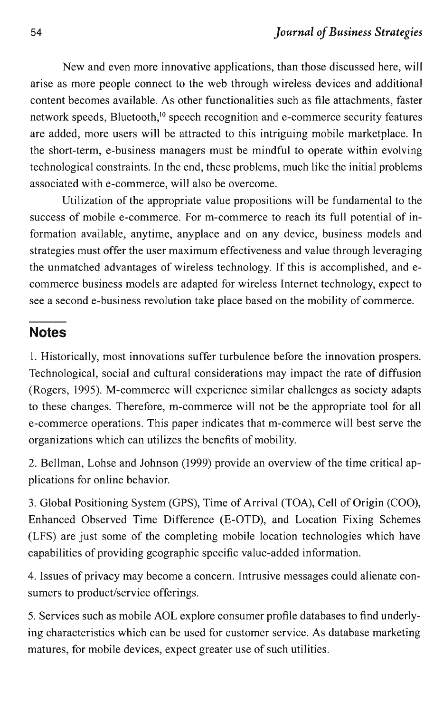New and even more innovative applications, than those discussed here, will arise as more people connect to the web through wireless devices and additional content becomes available. As other functionalities such as file attachments, faster network speeds, Bluetooth,<sup>10</sup> speech recognition and e-commerce security features are added, more users will be attracted to this intriguing mobile marketplace. In the short-term, e-business managers must be mindful to operate within evolving technological constraints. In the end, these problems, much like the initial problems associated with e-commerce, will also be overcome.

Utilization of the appropriate value propositions will be fundamental to the success of mobile e-commerce. For m-commerce to reach its full potential of information available, anytime, anyplace and on any device, business models and strategies must offer the user maximum effectiveness and value through leveraging the unmatched advantages of wireless technology. If this is accomplished, and ecommerce business models are adapted for wireless Internet technology, expect to see a second e-business revolution take place based on the mobility of commerce.

## **Notes**

1. Historically, most innovations suffer turbulence before the innovation prospers. Technological, social and cultural considerations may impact the rate of diffusion (Rogers, 1995). M-commerce will experience similar challenges as society adapts to these changes. Therefore, m-commerce will not be the appropriate tool for all e-commerce operations. This paper indicates that m-commerce will best serve the organizations which can utilizes the benefits of mobility.

2. Bellman, Lohse and Johnson (1999) provide an overview of the time critical applications for online behavior.

3. Global Positioning System (GPS), Time of Arrival (TOA), Cell of Origin (COO), Enhanced Observed Time Difference (E-OTD), and Location Fixing Schemes (LFS) are just some of the completing mobile location technologies which have capabilities of providing geographic specific value-added information.

4. Issues of privacy may become a concern. Intrusive messages could alienate consumers to product/service offerings.

5. Services such as mobile AOL explore consumer profile databases to find underlying characteristics which can be used for customer service. As database marketing matures, for mobile devices, expect greater use of such utilities.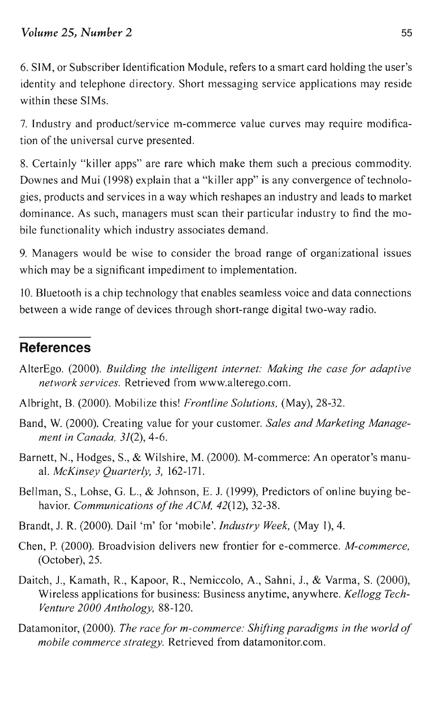6. SIM, or Subscriber Identification Module, refers to a smart card holding the user's identity and telephone directory. Short messaging service applications may reside within these SIMs.

7. Industry and product/service m-commerce value curves may require modification of the universal curve presented.

8. Certainly "killer apps" are rare which make them such a precious commodity. Downes and Mui (1998) explain that a "killer app" is any convergence of technologies, products and services in a way which reshapes an industry and leads to market dominance. As such, managers must scan their particular industry to find the mobile functionality which industry associates demand.

9. Managers would be wise to consider the broad range of organizational issues which may be a significant impediment to implementation.

10. Bluetooth is a chip technology that enables seamless voice and data connections between a wide range of devices through short-range digital two-way radio.

# **References**

- AlterEgo. (2000). *Building the intelligent internet: Making the case for adaptive network services.* Retrieved from www.alterego.com.
- Albright, 8. (2000). Mobilize this! *Frontline Solutions,* (May), 28-32.
- Band, W. (2000). Creating value for your customer. *Sales and Marketing Management in Canada,* 31(2), 4-6.
- Barnett, N., Hodges, S., & Wilshire, M. (2000). M-commerce: An operator's manual. *McKinsey Quarterly,* 3, 162-171.
- Bellman, S., Lohse, G. L., & Johnson, E. 1. (1999), Predictors of online buying behavior. *Communications of the ACM, 42*(12), 32-38.
- Brandt, 1. R. (2000). Dail 'm' for 'mobile'. *Industry Week,* (May 1),4.
- Chen, P. (2000). Broadvision delivers new frontier for e-commerce. *M-commerce,* (October), 25.
- Daitch, 1., Kamath, R., Kapoor, R., Nemiccolo, A., Sahni, 1., & Varma, S. (2000), Wireless applications for business: Business anytime, anywhere. *Kellogg Tech-Venture 2000 Anthology, 88-120.*
- Datamonitor, (2000). *The race for m-commerce: Shifting paradigms in the world of mobile commerce strategy.* Retrieved from datamonitor.com.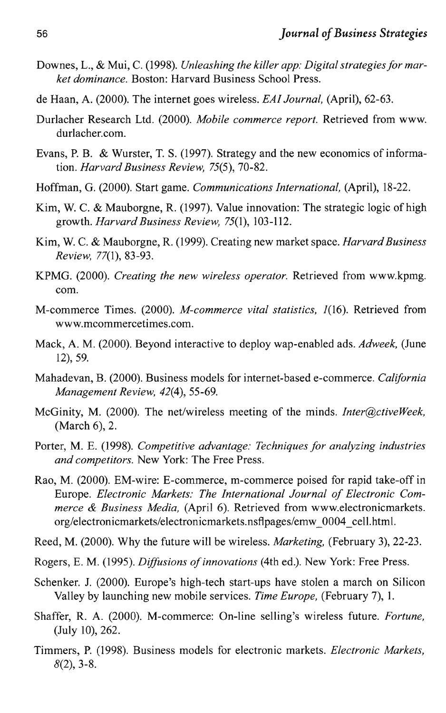- Downes, L., & Mui, C. (1998). *Unleashing the killer app: Digital strategies for market dominance.* Boston: Harvard Business School Press.
- de Haan, A. (2000). The internet goes wireless. *EAI Journal,* (April), 62-63.
- Durlacher Research Ltd. (2000). *Mobile commerce report.* Retrieved from www. durlacher.com.
- Evans, P. B. & Wurster, T. S. (1997). Strategy and the new economics of information. *Harvard Business Review,* 75(5), 70-82.
- Hoffman, G. (2000). Start game. *Communications International,* (April), 18-22.
- Kim, W. C. & Mauborgne, R. (1997). Value innovation: The strategic logic of high growth. *Harvard Business Review,* 75(1), 103-112.
- Kim, W. C. & Mauborgne, R. (1999). Creating new market space. *Harvard Business Review,* 77(1), 83-93.
- KPMG. (2000). *Creating the new wireless operator.* Retrieved from www.kpmg. com.
- M-commerce Times. (2000). *M-commerce vital statistics,* 1(16). Retrieved from www.mcommercetimes.com.
- Mack, A. M. (2000). Beyond interactive to deploy wap-enabled ads. *Adweek,* (June 12), 59.
- Mahadevan, B. (2000). Business models for internet-based e-commerce. *California Management Review,* 42(4),55-69.
- McGinity, M. (2000). The net/wireless meeting of the minds. *Inter@ctiveWeek,* (March 6), 2.
- Porter, M. E. (1998). *Competitive advantage: Techniques for analyzing industries and competitors.* New York: The Free Press.
- Rao, M. (2000). EM-wire: E-commerce, m-commerce poised for rapid take-off in Europe. *Electronic Markets: The International Journal of Electronic Commerce* & *Business Media,* (April 6). Retrieved from www.electronicmarkets. org/electronicmarkets/electronicmarkets.nsflpages/emw\_0004\_cell.html.

Reed, M. (2000). Why the future will be wireless. *Marketing,* (February 3), 22-23.

- Rogers, E. M. (1995). *Diffusions ofinnovations* (4th ed.). New York: Free Press.
- Schenker. 1. (2000). Europe's high-tech start-ups have stolen a march on Silicon Valley by launching new mobile services. *Time Europe,* (February 7), 1.
- Shaffer, R. A. (2000). M-commerce: On-line selling's wireless future. *Fortune,* (July 10), 262.
- Timmers, P. (1998). Business models for electronic markets. *Electronic Markets,*  $8(2)$ , 3-8.